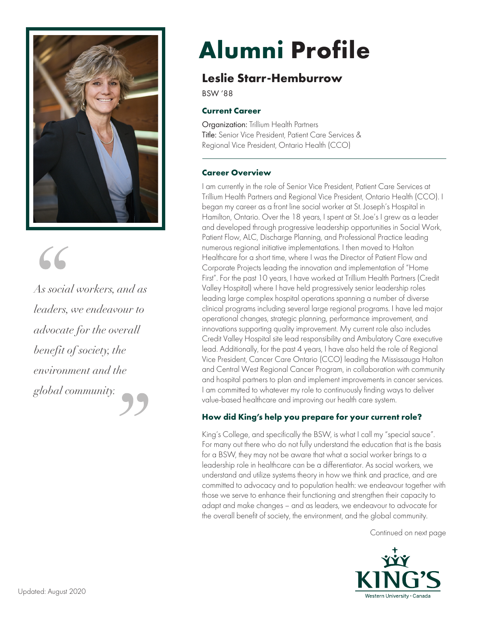

## $66$

*As social workers, and as leaders, we endeavour to advocate for the overall benefit of society, the environment and the global community.* 

# **Alumni Profile**

### **Leslie Starr-Hemburrow**

BSW '88

#### **Current Career**

Organization: Trillium Health Partners Title: Senior Vice President, Patient Care Services & Regional Vice President, Ontario Health (CCO)

#### **Career Overview**

I am currently in the role of Senior Vice President, Patient Care Services at Trillium Health Partners and Regional Vice President, Ontario Health (CCO). I began my career as a front line social worker at St. Joseph's Hospital in Hamilton, Ontario. Over the 18 years, I spent at St. Joe's I grew as a leader and developed through progressive leadership opportunities in Social Work, Patient Flow, ALC, Discharge Planning, and Professional Practice leading numerous regional initiative implementations. I then moved to Halton Healthcare for a short time, where I was the Director of Patient Flow and Corporate Projects leading the innovation and implementation of "Home First". For the past 10 years, I have worked at Trillium Health Partners (Credit Valley Hospital) where I have held progressively senior leadership roles leading large complex hospital operations spanning a number of diverse clinical programs including several large regional programs. I have led major operational changes, strategic planning, performance improvement, and innovations supporting quality improvement. My current role also includes Credit Valley Hospital site lead responsibility and Ambulatory Care executive lead. Additionally, for the past 4 years, I have also held the role of Regional Vice President, Cancer Care Ontario (CCO) leading the Mississauga Halton and Central West Regional Cancer Program, in collaboration with community and hospital partners to plan and implement improvements in cancer services. I am committed to whatever my role to continuously finding ways to deliver value-based healthcare and improving our health care system.

#### **How did King's help you prepare for your current role?**

King's College, and specifically the BSW, is what I call my "special sauce". For many out there who do not fully understand the education that is the basis for a BSW, they may not be aware that what a social worker brings to a leadership role in healthcare can be a differentiator. As social workers, we understand and utilize systems theory in how we think and practice, and are committed to advocacy and to population health: we endeavour together with those we serve to enhance their functioning and strengthen their capacity to adapt and make changes – and as leaders, we endeavour to advocate for the overall benefit of society, the environment, and the global community.

Continued on next page